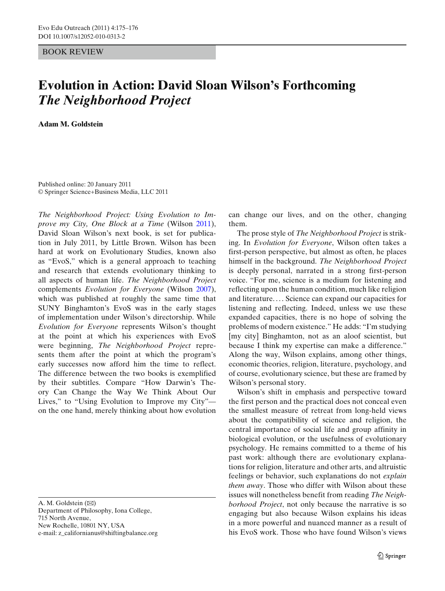## BOOK REVIEW

## **Evolution in Action: David Sloan Wilson's Forthcoming** *The Neighborhood Project*

**Adam M. Goldstein**

Published online: 20 January 2011 © Springer Science+Business Media, LLC 2011

*The Neighborhood Project: Using Evolution to Improve my City, One Block at a Time* (Wilso[n](#page-1-0) [2011\)](#page-1-0), David Sloan Wilson's next book, is set for publication in July 2011, by Little Brown. Wilson has been hard at work on Evolutionary Studies, known also as "EvoS," which is a general approach to teaching and research that extends evolutionary thinking to all aspects of human life. *The Neighborhood Project* complements *Evolution for Everyone* (Wilso[n](#page-1-0) [2007\)](#page-1-0), which was published at roughly the same time that SUNY Binghamton's EvoS was in the early stages of implementation under Wilson's directorship. While *Evolution for Everyone* represents Wilson's thought at the point at which his experiences with EvoS were beginning, *The Neighborhood Project* represents them after the point at which the program's early successes now afford him the time to reflect. The difference between the two books is exemplified by their subtitles. Compare "How Darwin's Theory Can Change the Way We Think About Our Lives," to "Using Evolution to Improve my City" on the one hand, merely thinking about how evolution

715 North Avenue, New Rochelle, 10801 NY, USA

e-mail: z\_californianus@shiftingbalance.org

can change our lives, and on the other, changing them.

The prose style of *The Neighborhood Project* is striking. In *Evolution for Everyone*, Wilson often takes a first-person perspective, but almost as often, he places himself in the background. *The Neighborhood Project* is deeply personal, narrated in a strong first-person voice. "For me, science is a medium for listening and reflecting upon the human condition, much like religion and literature. . . . Science can expand our capacities for listening and reflecting. Indeed, unless we use these expanded capacities, there is no hope of solving the problems of modern existence." He adds: "I'm studying [my city] Binghamton, not as an aloof scientist, but because I think my expertise can make a difference." Along the way, Wilson explains, among other things, economic theories, religion, literature, psychology, and of course, evolutionary science, but these are framed by Wilson's personal story.

Wilson's shift in emphasis and perspective toward the first person and the practical does not conceal even the smallest measure of retreat from long-held views about the compatibility of science and religion, the central importance of social life and group affinity in biological evolution, or the usefulness of evolutionary psychology. He remains committed to a theme of his past work: although there are evolutionary explanations for religion, literature and other arts, and altruistic feelings or behavior, such explanations do not *explain them away*. Those who differ with Wilson about these issues will nonetheless benefit from reading *The Neighborhood Project*, not only because the narrative is so engaging but also because Wilson explains his ideas in a more powerful and nuanced manner as a result of his EvoS work. Those who have found Wilson's views

A. M. Goldstein  $(\boxtimes)$ Department of Philosophy, Iona College,